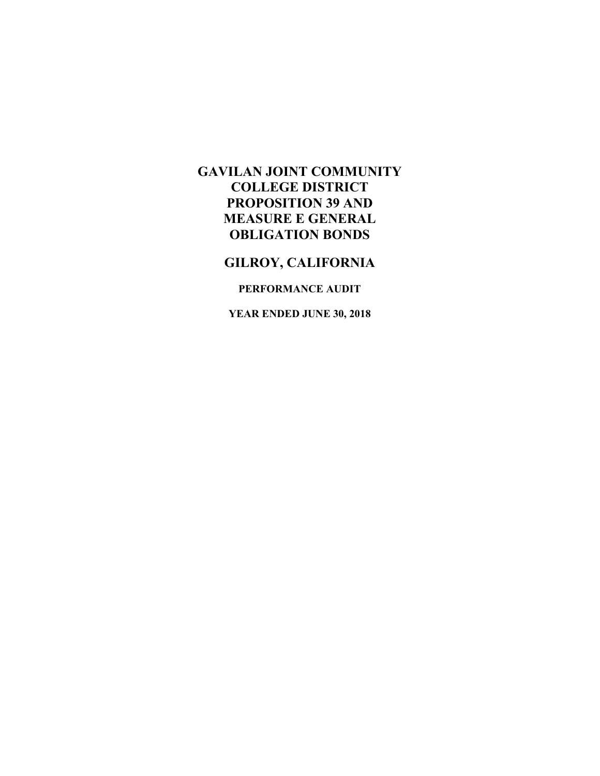## **GILROY, CALIFORNIA**

### **PERFORMANCE AUDIT**

**YEAR ENDED JUNE 30, 2018**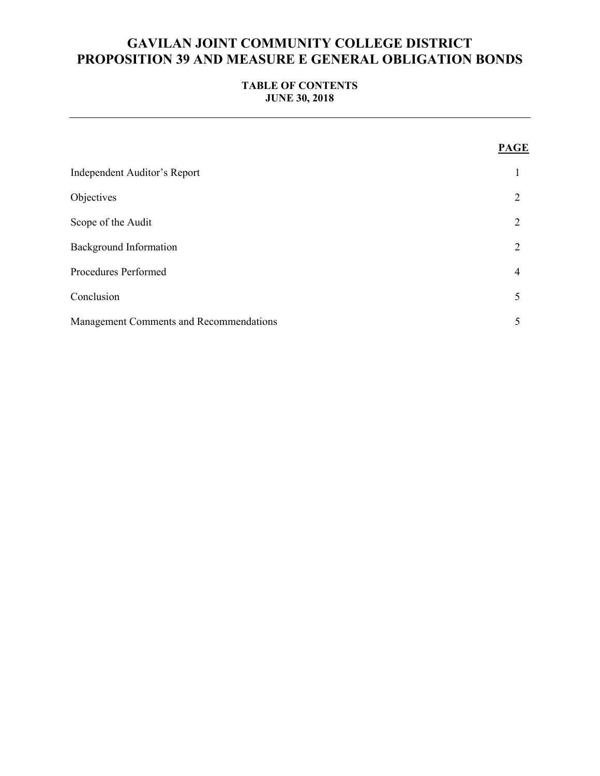### **TABLE OF CONTENTS JUNE 30, 2018**

|                                         | <b>PAGE</b>    |
|-----------------------------------------|----------------|
| Independent Auditor's Report            |                |
| Objectives                              | 2              |
| Scope of the Audit                      | $\overline{2}$ |
| <b>Background Information</b>           | $\overline{2}$ |
| Procedures Performed                    | 4              |
| Conclusion                              | 5              |
| Management Comments and Recommendations | 5              |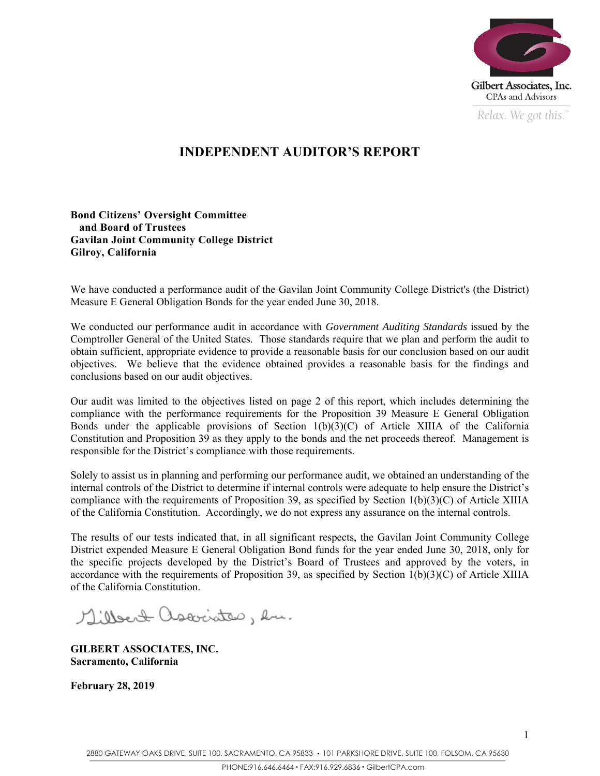

*Relax. We got this.*  $\alpha$ 

# **INDEPENDENT AUDITOR'S REPORT**

### **Bond Citizens' Oversight Committee and Board of Trustees Gavilan Joint Community College District Gilroy, California**

We have conducted a performance audit of the Gavilan Joint Community College District's (the District) Measure E General Obligation Bonds for the year ended June 30, 2018.

We conducted our performance audit in accordance with *Government Auditing Standards* issued by the Comptroller General of the United States. Those standards require that we plan and perform the audit to obtain sufficient, appropriate evidence to provide a reasonable basis for our conclusion based on our audit objectives. We believe that the evidence obtained provides a reasonable basis for the findings and conclusions based on our audit objectives.

Our audit was limited to the objectives listed on page 2 of this report, which includes determining the compliance with the performance requirements for the Proposition 39 Measure E General Obligation Bonds under the applicable provisions of Section 1(b)(3)(C) of Article XIIIA of the California Constitution and Proposition 39 as they apply to the bonds and the net proceeds thereof. Management is responsible for the District's compliance with those requirements.

Solely to assist us in planning and performing our performance audit, we obtained an understanding of the internal controls of the District to determine if internal controls were adequate to help ensure the District's compliance with the requirements of Proposition 39, as specified by Section 1(b)(3)(C) of Article XIIIA of the California Constitution. Accordingly, we do not express any assurance on the internal controls.

The results of our tests indicated that, in all significant respects, the Gavilan Joint Community College District expended Measure E General Obligation Bond funds for the year ended June 30, 2018, only for the specific projects developed by the District's Board of Trustees and approved by the voters, in accordance with the requirements of Proposition 39, as specified by Section  $1(b)(3)(C)$  of Article XIIIA of the California Constitution.

Millert ascociates, en.

**GILBERT ASSOCIATES, INC. Sacramento, California** 

**February 28, 2019**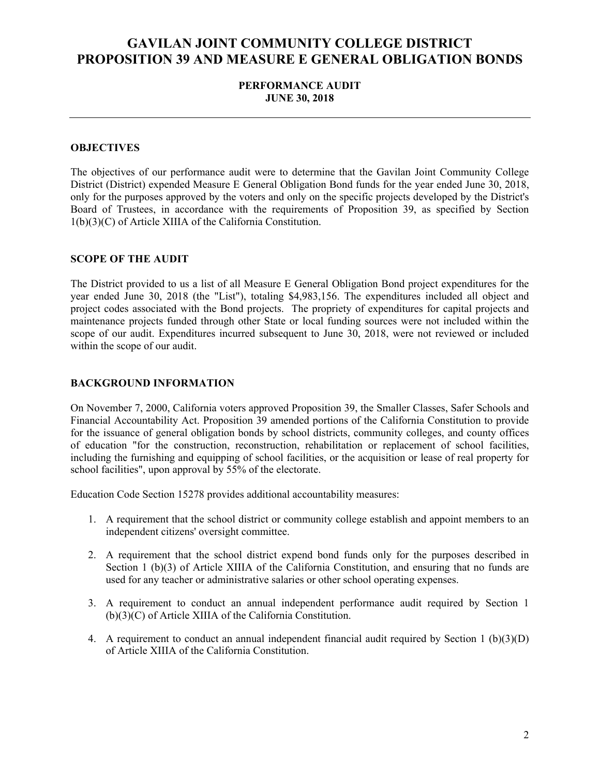### **PERFORMANCE AUDIT JUNE 30, 2018**

#### **OBJECTIVES**

The objectives of our performance audit were to determine that the Gavilan Joint Community College District (District) expended Measure E General Obligation Bond funds for the year ended June 30, 2018, only for the purposes approved by the voters and only on the specific projects developed by the District's Board of Trustees, in accordance with the requirements of Proposition 39, as specified by Section 1(b)(3)(C) of Article XIIIA of the California Constitution.

#### **SCOPE OF THE AUDIT**

The District provided to us a list of all Measure E General Obligation Bond project expenditures for the year ended June 30, 2018 (the "List"), totaling \$4,983,156. The expenditures included all object and project codes associated with the Bond projects. The propriety of expenditures for capital projects and maintenance projects funded through other State or local funding sources were not included within the scope of our audit. Expenditures incurred subsequent to June 30, 2018, were not reviewed or included within the scope of our audit.

#### **BACKGROUND INFORMATION**

On November 7, 2000, California voters approved Proposition 39, the Smaller Classes, Safer Schools and Financial Accountability Act. Proposition 39 amended portions of the California Constitution to provide for the issuance of general obligation bonds by school districts, community colleges, and county offices of education "for the construction, reconstruction, rehabilitation or replacement of school facilities, including the furnishing and equipping of school facilities, or the acquisition or lease of real property for school facilities", upon approval by 55% of the electorate.

Education Code Section 15278 provides additional accountability measures:

- 1. A requirement that the school district or community college establish and appoint members to an independent citizens' oversight committee.
- 2. A requirement that the school district expend bond funds only for the purposes described in Section 1 (b)(3) of Article XIIIA of the California Constitution, and ensuring that no funds are used for any teacher or administrative salaries or other school operating expenses.
- 3. A requirement to conduct an annual independent performance audit required by Section 1 (b)(3)(C) of Article XIIIA of the California Constitution.
- 4. A requirement to conduct an annual independent financial audit required by Section 1 (b)(3)(D) of Article XIIIA of the California Constitution.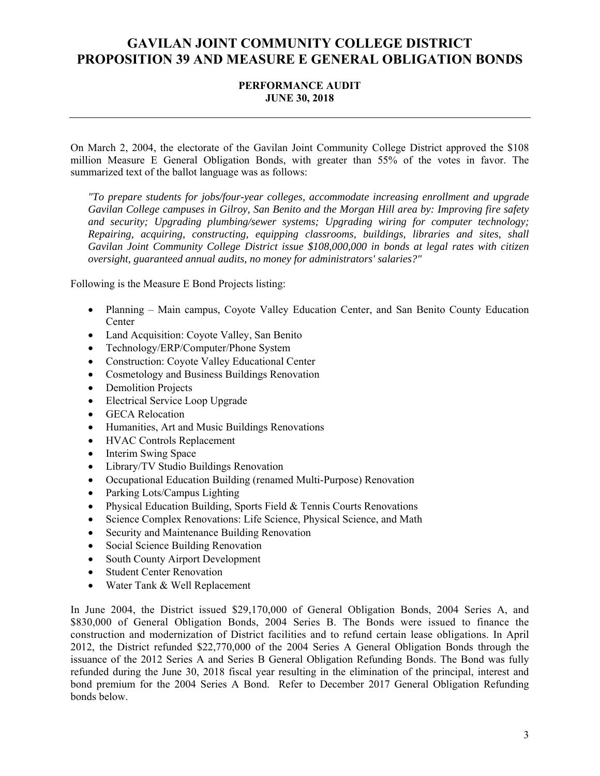### **PERFORMANCE AUDIT JUNE 30, 2018**

On March 2, 2004, the electorate of the Gavilan Joint Community College District approved the \$108 million Measure E General Obligation Bonds, with greater than 55% of the votes in favor. The summarized text of the ballot language was as follows:

*"To prepare students for jobs/four-year colleges, accommodate increasing enrollment and upgrade Gavilan College campuses in Gilroy, San Benito and the Morgan Hill area by: Improving fire safety and security; Upgrading plumbing/sewer systems; Upgrading wiring for computer technology; Repairing, acquiring, constructing, equipping classrooms, buildings, libraries and sites, shall Gavilan Joint Community College District issue \$108,000,000 in bonds at legal rates with citizen oversight, guaranteed annual audits, no money for administrators' salaries?"* 

Following is the Measure E Bond Projects listing:

- Planning Main campus, Coyote Valley Education Center, and San Benito County Education Center
- Land Acquisition: Coyote Valley, San Benito
- Technology/ERP/Computer/Phone System
- Construction: Coyote Valley Educational Center
- Cosmetology and Business Buildings Renovation
- Demolition Projects
- Electrical Service Loop Upgrade
- GECA Relocation
- Humanities, Art and Music Buildings Renovations
- HVAC Controls Replacement
- Interim Swing Space
- Library/TV Studio Buildings Renovation
- Occupational Education Building (renamed Multi-Purpose) Renovation
- Parking Lots/Campus Lighting
- Physical Education Building, Sports Field & Tennis Courts Renovations
- Science Complex Renovations: Life Science, Physical Science, and Math
- Security and Maintenance Building Renovation
- Social Science Building Renovation
- South County Airport Development
- Student Center Renovation
- Water Tank & Well Replacement

In June 2004, the District issued \$29,170,000 of General Obligation Bonds, 2004 Series A, and \$830,000 of General Obligation Bonds, 2004 Series B. The Bonds were issued to finance the construction and modernization of District facilities and to refund certain lease obligations. In April 2012, the District refunded \$22,770,000 of the 2004 Series A General Obligation Bonds through the issuance of the 2012 Series A and Series B General Obligation Refunding Bonds. The Bond was fully refunded during the June 30, 2018 fiscal year resulting in the elimination of the principal, interest and bond premium for the 2004 Series A Bond. Refer to December 2017 General Obligation Refunding bonds below.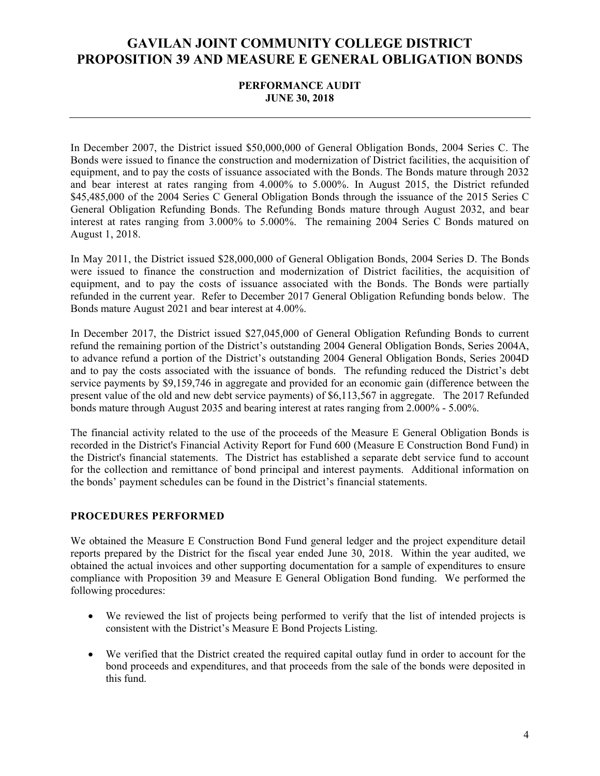### **PERFORMANCE AUDIT JUNE 30, 2018**

In December 2007, the District issued \$50,000,000 of General Obligation Bonds, 2004 Series C. The Bonds were issued to finance the construction and modernization of District facilities, the acquisition of equipment, and to pay the costs of issuance associated with the Bonds. The Bonds mature through 2032 and bear interest at rates ranging from 4.000% to 5.000%. In August 2015, the District refunded \$45,485,000 of the 2004 Series C General Obligation Bonds through the issuance of the 2015 Series C General Obligation Refunding Bonds. The Refunding Bonds mature through August 2032, and bear interest at rates ranging from 3.000% to 5.000%. The remaining 2004 Series C Bonds matured on August 1, 2018.

In May 2011, the District issued \$28,000,000 of General Obligation Bonds, 2004 Series D. The Bonds were issued to finance the construction and modernization of District facilities, the acquisition of equipment, and to pay the costs of issuance associated with the Bonds. The Bonds were partially refunded in the current year. Refer to December 2017 General Obligation Refunding bonds below. The Bonds mature August 2021 and bear interest at 4.00%.

In December 2017, the District issued \$27,045,000 of General Obligation Refunding Bonds to current refund the remaining portion of the District's outstanding 2004 General Obligation Bonds, Series 2004A, to advance refund a portion of the District's outstanding 2004 General Obligation Bonds, Series 2004D and to pay the costs associated with the issuance of bonds. The refunding reduced the District's debt service payments by \$9,159,746 in aggregate and provided for an economic gain (difference between the present value of the old and new debt service payments) of \$6,113,567 in aggregate. The 2017 Refunded bonds mature through August 2035 and bearing interest at rates ranging from 2.000% - 5.00%.

The financial activity related to the use of the proceeds of the Measure E General Obligation Bonds is recorded in the District's Financial Activity Report for Fund 600 (Measure E Construction Bond Fund) in the District's financial statements. The District has established a separate debt service fund to account for the collection and remittance of bond principal and interest payments. Additional information on the bonds' payment schedules can be found in the District's financial statements.

#### **PROCEDURES PERFORMED**

We obtained the Measure E Construction Bond Fund general ledger and the project expenditure detail reports prepared by the District for the fiscal year ended June 30, 2018. Within the year audited, we obtained the actual invoices and other supporting documentation for a sample of expenditures to ensure compliance with Proposition 39 and Measure E General Obligation Bond funding. We performed the following procedures:

- We reviewed the list of projects being performed to verify that the list of intended projects is consistent with the District's Measure E Bond Projects Listing.
- We verified that the District created the required capital outlay fund in order to account for the bond proceeds and expenditures, and that proceeds from the sale of the bonds were deposited in this fund.